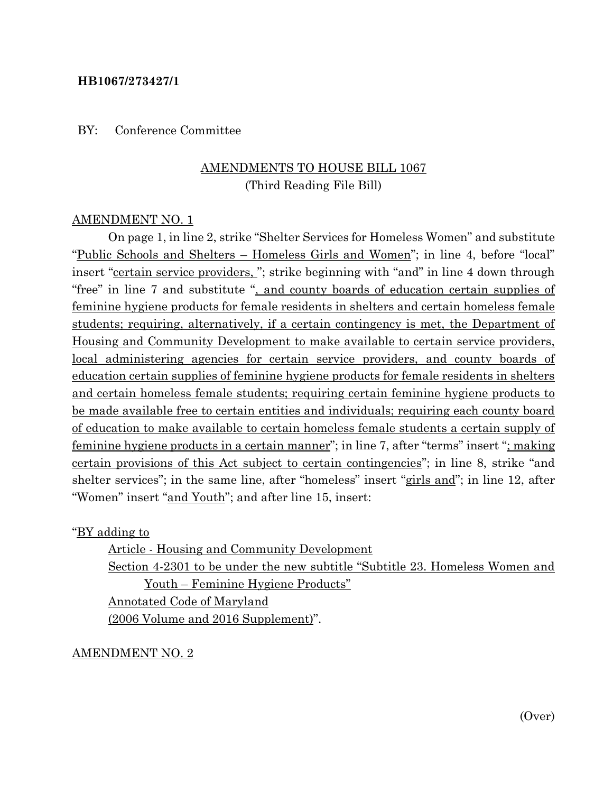#### **HB1067/273427/1**

BY: Conference Committee

## AMENDMENTS TO HOUSE BILL 1067 (Third Reading File Bill)

#### AMENDMENT NO. 1

On page 1, in line 2, strike "Shelter Services for Homeless Women" and substitute "Public Schools and Shelters – Homeless Girls and Women"; in line 4, before "local" insert "certain service providers, "; strike beginning with "and" in line 4 down through "free" in line 7 and substitute ", and county boards of education certain supplies of feminine hygiene products for female residents in shelters and certain homeless female students; requiring, alternatively, if a certain contingency is met, the Department of Housing and Community Development to make available to certain service providers, local administering agencies for certain service providers, and county boards of education certain supplies of feminine hygiene products for female residents in shelters and certain homeless female students; requiring certain feminine hygiene products to be made available free to certain entities and individuals; requiring each county board of education to make available to certain homeless female students a certain supply of feminine hygiene products in a certain manner"; in line 7, after "terms" insert "; making certain provisions of this Act subject to certain contingencies"; in line 8, strike "and shelter services"; in the same line, after "homeless" insert "girls and"; in line 12, after "Women" insert "and Youth"; and after line 15, insert:

"BY adding to

Article - Housing and Community Development Section 4-2301 to be under the new subtitle "Subtitle 23. Homeless Women and Youth – Feminine Hygiene Products" Annotated Code of Maryland (2006 Volume and 2016 Supplement)".

AMENDMENT NO. 2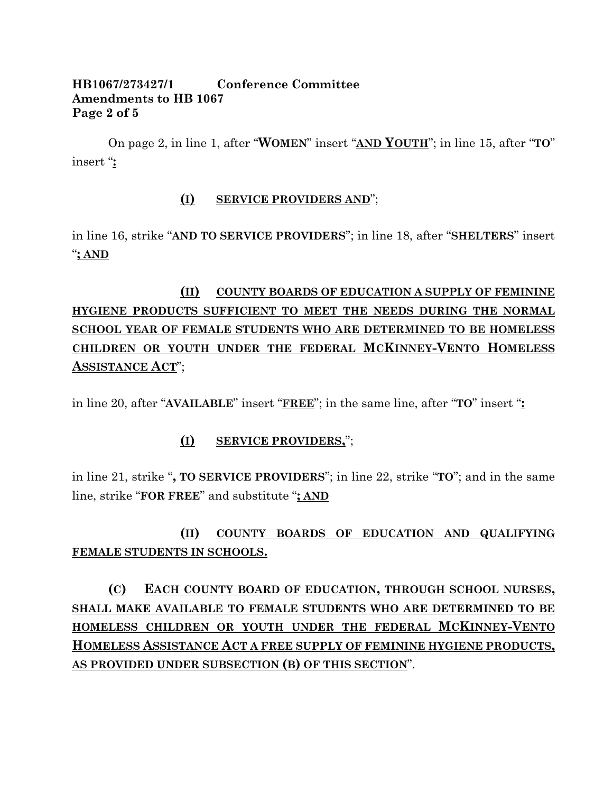### **HB1067/273427/1 Conference Committee Amendments to HB 1067 Page 2 of 5**

On page 2, in line 1, after "**WOMEN**" insert "**AND YOUTH**"; in line 15, after "**TO**" insert "**:**

### **(I) SERVICE PROVIDERS AND**";

in line 16, strike "**AND TO SERVICE PROVIDERS**"; in line 18, after "**SHELTERS**" insert "**; AND**

# **(II) COUNTY BOARDS OF EDUCATION A SUPPLY OF FEMININE HYGIENE PRODUCTS SUFFICIENT TO MEET THE NEEDS DURING THE NORMAL SCHOOL YEAR OF FEMALE STUDENTS WHO ARE DETERMINED TO BE HOMELESS CHILDREN OR YOUTH UNDER THE FEDERAL MCKINNEY-VENTO HOMELESS ASSISTANCE ACT**";

in line 20, after "**AVAILABLE**" insert "**FREE**"; in the same line, after "**TO**" insert "**:**

## **(I) SERVICE PROVIDERS,**";

in line 21, strike "**, TO SERVICE PROVIDERS**"; in line 22, strike "**TO**"; and in the same line, strike "**FOR FREE**" and substitute "**; AND**

# **(II) COUNTY BOARDS OF EDUCATION AND QUALIFYING FEMALE STUDENTS IN SCHOOLS.**

**(C) EACH COUNTY BOARD OF EDUCATION, THROUGH SCHOOL NURSES, SHALL MAKE AVAILABLE TO FEMALE STUDENTS WHO ARE DETERMINED TO BE HOMELESS CHILDREN OR YOUTH UNDER THE FEDERAL MCKINNEY-VENTO HOMELESS ASSISTANCE ACT A FREE SUPPLY OF FEMININE HYGIENE PRODUCTS, AS PROVIDED UNDER SUBSECTION (B) OF THIS SECTION**".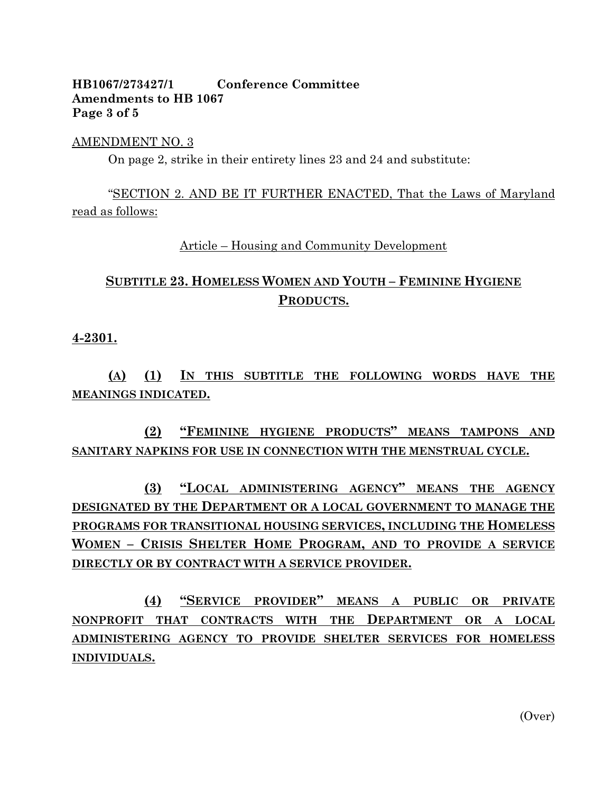### **HB1067/273427/1 Conference Committee Amendments to HB 1067 Page 3 of 5**

#### AMENDMENT NO. 3

On page 2, strike in their entirety lines 23 and 24 and substitute:

"SECTION 2. AND BE IT FURTHER ENACTED, That the Laws of Maryland read as follows:

Article – Housing and Community Development

# **SUBTITLE 23. HOMELESS WOMEN AND YOUTH – FEMININE HYGIENE PRODUCTS.**

#### **4-2301.**

**(A) (1) IN THIS SUBTITLE THE FOLLOWING WORDS HAVE THE MEANINGS INDICATED.**

**(2) "FEMININE HYGIENE PRODUCTS" MEANS TAMPONS AND SANITARY NAPKINS FOR USE IN CONNECTION WITH THE MENSTRUAL CYCLE.**

**(3) "LOCAL ADMINISTERING AGENCY" MEANS THE AGENCY DESIGNATED BY THE DEPARTMENT OR A LOCAL GOVERNMENT TO MANAGE THE PROGRAMS FOR TRANSITIONAL HOUSING SERVICES, INCLUDING THE HOMELESS WOMEN – CRISIS SHELTER HOME PROGRAM, AND TO PROVIDE A SERVICE DIRECTLY OR BY CONTRACT WITH A SERVICE PROVIDER.**

**(4) "SERVICE PROVIDER" MEANS A PUBLIC OR PRIVATE NONPROFIT THAT CONTRACTS WITH THE DEPARTMENT OR A LOCAL ADMINISTERING AGENCY TO PROVIDE SHELTER SERVICES FOR HOMELESS INDIVIDUALS.**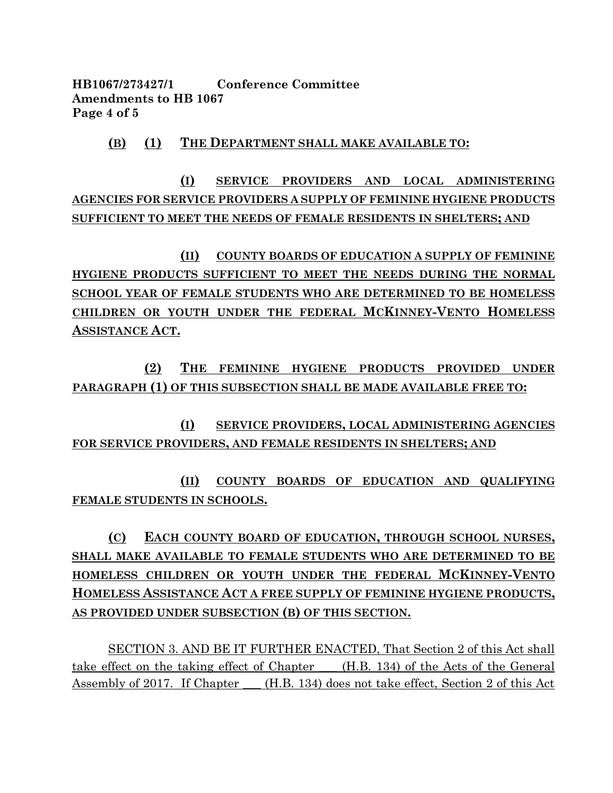**HB1067/273427/1 Conference Committee Amendments to HB 1067 Page 4 of 5**

#### **(B) (1) THE DEPARTMENT SHALL MAKE AVAILABLE TO:**

**(I) SERVICE PROVIDERS AND LOCAL ADMINISTERING AGENCIES FOR SERVICE PROVIDERS A SUPPLY OF FEMININE HYGIENE PRODUCTS SUFFICIENT TO MEET THE NEEDS OF FEMALE RESIDENTS IN SHELTERS; AND**

**(II) COUNTY BOARDS OF EDUCATION A SUPPLY OF FEMININE HYGIENE PRODUCTS SUFFICIENT TO MEET THE NEEDS DURING THE NORMAL SCHOOL YEAR OF FEMALE STUDENTS WHO ARE DETERMINED TO BE HOMELESS CHILDREN OR YOUTH UNDER THE FEDERAL MCKINNEY-VENTO HOMELESS ASSISTANCE ACT.**

**(2) THE FEMININE HYGIENE PRODUCTS PROVIDED UNDER PARAGRAPH (1) OF THIS SUBSECTION SHALL BE MADE AVAILABLE FREE TO:**

**(I) SERVICE PROVIDERS, LOCAL ADMINISTERING AGENCIES FOR SERVICE PROVIDERS, AND FEMALE RESIDENTS IN SHELTERS; AND**

**(II) COUNTY BOARDS OF EDUCATION AND QUALIFYING FEMALE STUDENTS IN SCHOOLS.**

# **(C) EACH COUNTY BOARD OF EDUCATION, THROUGH SCHOOL NURSES, SHALL MAKE AVAILABLE TO FEMALE STUDENTS WHO ARE DETERMINED TO BE HOMELESS CHILDREN OR YOUTH UNDER THE FEDERAL MCKINNEY-VENTO HOMELESS ASSISTANCE ACT A FREE SUPPLY OF FEMININE HYGIENE PRODUCTS, AS PROVIDED UNDER SUBSECTION (B) OF THIS SECTION.**

SECTION 3. AND BE IT FURTHER ENACTED, That Section 2 of this Act shall take effect on the taking effect of Chapter (H.B. 134) of the Acts of the General Assembly of 2017. If Chapter (H.B. 134) does not take effect, Section 2 of this Act